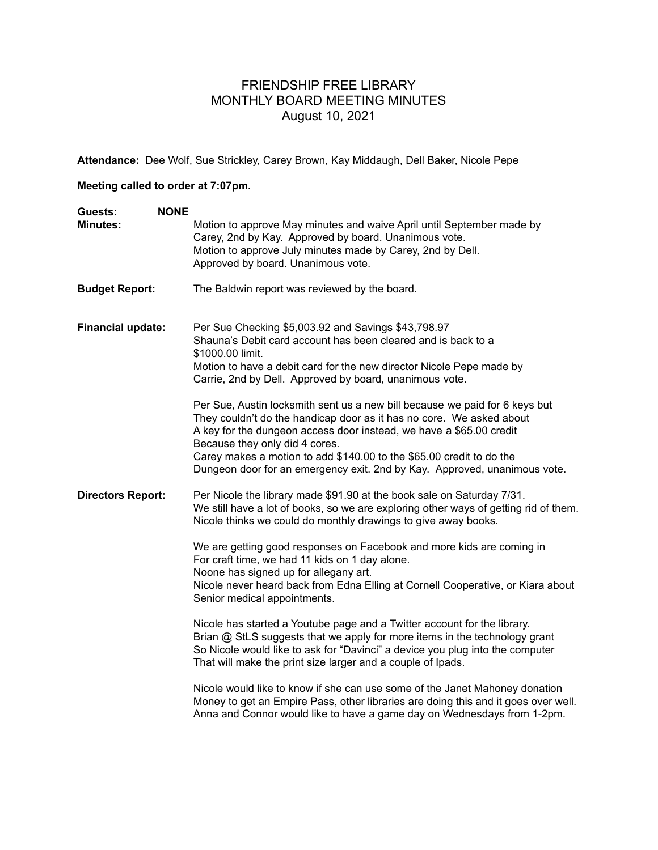## FRIENDSHIP FREE LIBRARY MONTHLY BOARD MEETING MINUTES August 10, 2021

**Attendance:** Dee Wolf, Sue Strickley, Carey Brown, Kay Middaugh, Dell Baker, Nicole Pepe

## **Meeting called to order at 7:07pm.**

| Guests:                  | <b>NONE</b> |                                                                                                                                                                                                                                                                                                                                                            |
|--------------------------|-------------|------------------------------------------------------------------------------------------------------------------------------------------------------------------------------------------------------------------------------------------------------------------------------------------------------------------------------------------------------------|
| <b>Minutes:</b>          |             | Motion to approve May minutes and waive April until September made by<br>Carey, 2nd by Kay. Approved by board. Unanimous vote.<br>Motion to approve July minutes made by Carey, 2nd by Dell.<br>Approved by board. Unanimous vote.                                                                                                                         |
| <b>Budget Report:</b>    |             | The Baldwin report was reviewed by the board.                                                                                                                                                                                                                                                                                                              |
| Financial update:        |             | Per Sue Checking \$5,003.92 and Savings \$43,798.97<br>Shauna's Debit card account has been cleared and is back to a<br>\$1000.00 limit.<br>Motion to have a debit card for the new director Nicole Pepe made by<br>Carrie, 2nd by Dell. Approved by board, unanimous vote.<br>Per Sue, Austin locksmith sent us a new bill because we paid for 6 keys but |
|                          |             | They couldn't do the handicap door as it has no core. We asked about<br>A key for the dungeon access door instead, we have a \$65.00 credit<br>Because they only did 4 cores.<br>Carey makes a motion to add \$140.00 to the \$65.00 credit to do the<br>Dungeon door for an emergency exit. 2nd by Kay. Approved, unanimous vote.                         |
| <b>Directors Report:</b> |             | Per Nicole the library made \$91.90 at the book sale on Saturday 7/31.<br>We still have a lot of books, so we are exploring other ways of getting rid of them.<br>Nicole thinks we could do monthly drawings to give away books.                                                                                                                           |
|                          |             | We are getting good responses on Facebook and more kids are coming in<br>For craft time, we had 11 kids on 1 day alone.<br>Noone has signed up for allegany art.<br>Nicole never heard back from Edna Elling at Cornell Cooperative, or Kiara about<br>Senior medical appointments.                                                                        |
|                          |             | Nicole has started a Youtube page and a Twitter account for the library.<br>Brian @ StLS suggests that we apply for more items in the technology grant<br>So Nicole would like to ask for "Davinci" a device you plug into the computer<br>That will make the print size larger and a couple of Ipads.                                                     |
|                          |             | Nicole would like to know if she can use some of the Janet Mahoney donation<br>Money to get an Empire Pass, other libraries are doing this and it goes over well.<br>Anna and Connor would like to have a game day on Wednesdays from 1-2pm.                                                                                                               |